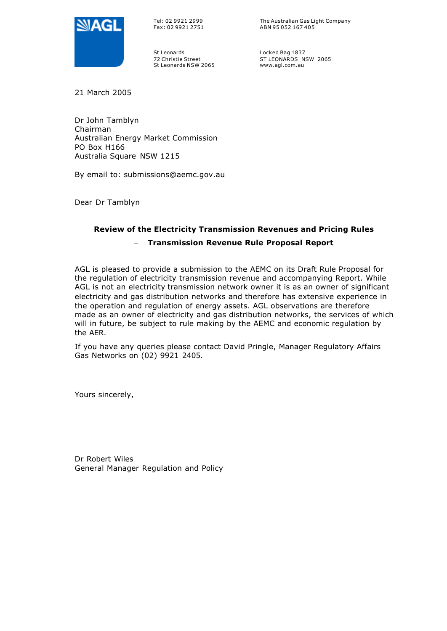

Tel: 02 9921 2999 Fax: 02 9921 2751 The Australian Gas Light Company ABN 95 052 167 405

St Leonards 72 Christie Street St Leonards NSW 2065 Locked Bag 1837 ST LEONARDS NSW 2065 www.agl.com.au

21 March 2005

Dr John Tamblyn Chairman Australian Energy Market Commission PO Box H166 Australia Square NSW 1215

By email to: submissions@aemc.gov.au

Dear Dr Tamblyn

## **Review of the Electricity Transmission Revenues and Pricing Rules**

## – **Transmission Revenue Rule Proposal Report**

AGL is pleased to provide a submission to the AEMC on its Draft Rule Proposal for the regulation of electricity transmission revenue and accompanying Report. While AGL is not an electricity transmission network owner it is as an owner of significant electricity and gas distribution networks and therefore has extensive experience in the operation and regulation of energy assets. AGL observations are therefore made as an owner of electricity and gas distribution networks, the services of which will in future, be subject to rule making by the AEMC and economic regulation by the AER.

If you have any queries please contact David Pringle, Manager Regulatory Affairs Gas Networks on (02) 9921 2405.

Yours sincerely,

Dr Robert Wiles General Manager Regulation and Policy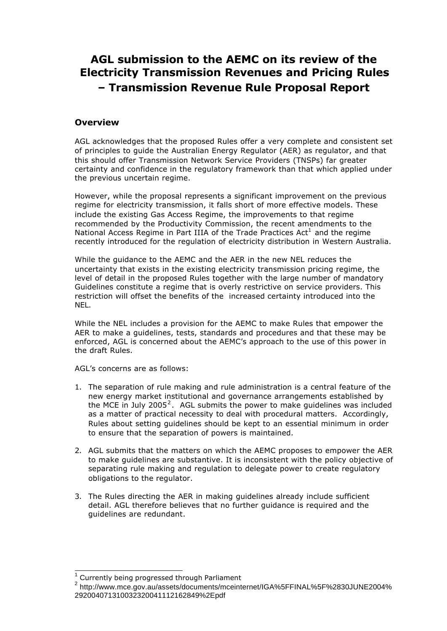# **AGL submission to the AEMC on its review of the Electricity Transmission Revenues and Pricing Rules – Transmission Revenue Rule Proposal Report**

## **Overview**

AGL acknowledges that the proposed Rules offer a very complete and consistent set of principles to guide the Australian Energy Regulator (AER) as regulator, and that this should offer Transmission Network Service Providers (TNSPs) far greater certainty and confidence in the regulatory framework than that which applied under the previous uncertain regime.

However, while the proposal represents a significant improvement on the previous regime for electricity transmission, it falls short of more effective models. These include the existing Gas Access Regime, the improvements to that regime recommended by the Productivity Commission, the recent amendments to the National Access Regime in Part IIIA of the Trade Practices Act<sup>1</sup> and the regime recently introduced for the regulation of electricity distribution in Western Australia.

While the guidance to the AEMC and the AER in the new NEL reduces the uncertainty that exists in the existing electricity transmission pricing regime, the level of detail in the proposed Rules together with the large number of mandatory Guidelines constitute a regime that is overly restrictive on service providers. This restriction will offset the benefits of the increased certainty introduced into the NEL.

While the NEL includes a provision for the AEMC to make Rules that empower the AER to make a guidelines, tests, standards and procedures and that these may be enforced, AGL is concerned about the AEMC's approach to the use of this power in the draft Rules.

AGL's concerns are as follows:

- 1. The separation of rule making and rule administration is a central feature of the new energy market institutional and governance arrangements established by the MCE in July 2005<sup>2</sup>. AGL submits the power to make guidelines was included as a matter of practical necessity to deal with procedural matters. Accordingly, Rules about setting guidelines should be kept to an essential minimum in order to ensure that the separation of powers is maintained.
- 2. AGL submits that the matters on which the AEMC proposes to empower the AER to make guidelines are substantive. It is inconsistent with the policy objective of separating rule making and regulation to delegate power to create regulatory obligations to the regulator.
- 3. The Rules directing the AER in making guidelines already include sufficient detail. AGL therefore believes that no further guidance is required and the guidelines are redundant.

 $\overline{a}$ 

<sup>1</sup> Currently being progressed through Parliament

<sup>2</sup> http://www.mce.gov.au/assets/documents/mceinternet/IGA%5FFINAL%5F%2830JUNE2004% 292004071310032320041112162849%2Epdf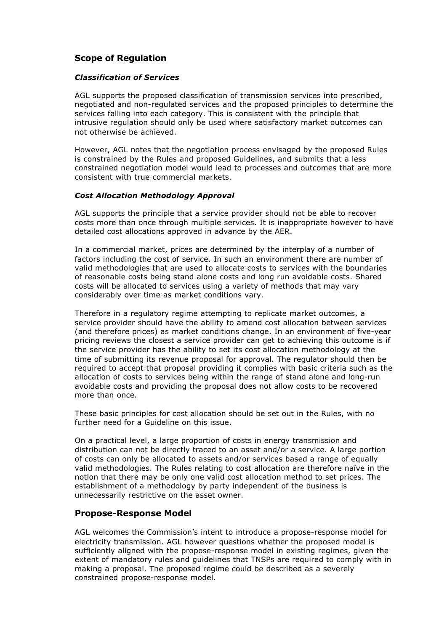## **Scope of Regulation**

#### *Classification of Services*

AGL supports the proposed classification of transmission services into prescribed, negotiated and non-regulated services and the proposed principles to determine the services falling into each category. This is consistent with the principle that intrusive regulation should only be used where satisfactory market outcomes can not otherwise be achieved.

However, AGL notes that the negotiation process envisaged by the proposed Rules is constrained by the Rules and proposed Guidelines, and submits that a less constrained negotiation model would lead to processes and outcomes that are more consistent with true commercial markets.

#### *Cost Allocation Methodology Approval*

AGL supports the principle that a service provider should not be able to recover costs more than once through multiple services. It is inappropriate however to have detailed cost allocations approved in advance by the AER.

In a commercial market, prices are determined by the interplay of a number of factors including the cost of service. In such an environment there are number of valid methodologies that are used to allocate costs to services with the boundaries of reasonable costs being stand alone costs and long run avoidable costs. Shared costs will be allocated to services using a variety of methods that may vary considerably over time as market conditions vary.

Therefore in a regulatory regime attempting to replicate market outcomes, a service provider should have the ability to amend cost allocation between services (and therefore prices) as market conditions change. In an environment of five-year pricing reviews the closest a service provider can get to achieving this outcome is if the service provider has the ability to set its cost allocation methodology at the time of submitting its revenue proposal for approval. The regulator should then be required to accept that proposal providing it complies with basic criteria such as the allocation of costs to services being within the range of stand alone and long-run avoidable costs and providing the proposal does not allow costs to be recovered more than once.

These basic principles for cost allocation should be set out in the Rules, with no further need for a Guideline on this issue.

On a practical level, a large proportion of costs in energy transmission and distribution can not be directly traced to an asset and/or a service. A large portion of costs can only be allocated to assets and/or services based a range of equally valid methodologies. The Rules relating to cost allocation are therefore naïve in the notion that there may be only one valid cost allocation method to set prices. The establishment of a methodology by party independent of the business is unnecessarily restrictive on the asset owner.

## **Propose-Response Model**

AGL welcomes the Commission's intent to introduce a propose-response model for electricity transmission. AGL however questions whether the proposed model is sufficiently aligned with the propose-response model in existing regimes, given the extent of mandatory rules and guidelines that TNSPs are required to comply with in making a proposal. The proposed regime could be described as a severely constrained propose-response model.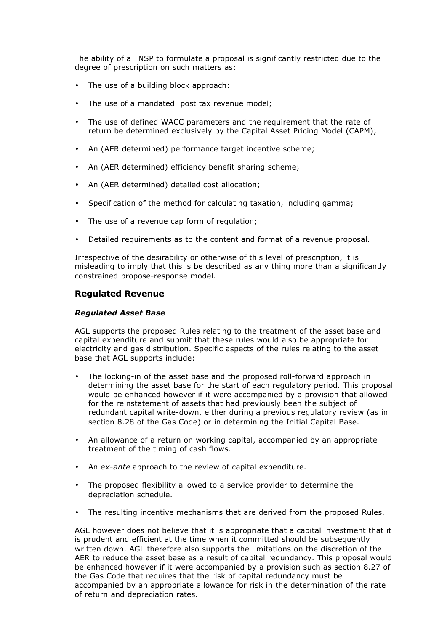The ability of a TNSP to formulate a proposal is significantly restricted due to the degree of prescription on such matters as:

- The use of a building block approach:
- The use of a mandated post tax revenue model;
- The use of defined WACC parameters and the requirement that the rate of return be determined exclusively by the Capital Asset Pricing Model (CAPM);
- An (AER determined) performance target incentive scheme;
- An (AER determined) efficiency benefit sharing scheme;
- An (AER determined) detailed cost allocation;
- Specification of the method for calculating taxation, including gamma;
- The use of a revenue cap form of regulation;
- Detailed requirements as to the content and format of a revenue proposal.

Irrespective of the desirability or otherwise of this level of prescription, it is misleading to imply that this is be described as any thing more than a significantly constrained propose-response model.

#### **Regulated Revenue**

#### *Regulated Asset Base*

AGL supports the proposed Rules relating to the treatment of the asset base and capital expenditure and submit that these rules would also be appropriate for electricity and gas distribution. Specific aspects of the rules relating to the asset base that AGL supports include:

- The locking-in of the asset base and the proposed roll-forward approach in determining the asset base for the start of each regulatory period. This proposal would be enhanced however if it were accompanied by a provision that allowed for the reinstatement of assets that had previously been the subject of redundant capital write-down, either during a previous regulatory review (as in section 8.28 of the Gas Code) or in determining the Initial Capital Base.
- An allowance of a return on working capital, accompanied by an appropriate treatment of the timing of cash flows.
- An *ex-ante* approach to the review of capital expenditure.
- The proposed flexibility allowed to a service provider to determine the depreciation schedule.
- The resulting incentive mechanisms that are derived from the proposed Rules.

AGL however does not believe that it is appropriate that a capital investment that it is prudent and efficient at the time when it committed should be subsequently written down. AGL therefore also supports the limitations on the discretion of the AER to reduce the asset base as a result of capital redundancy. This proposal would be enhanced however if it were accompanied by a provision such as section 8.27 of the Gas Code that requires that the risk of capital redundancy must be accompanied by an appropriate allowance for risk in the determination of the rate of return and depreciation rates.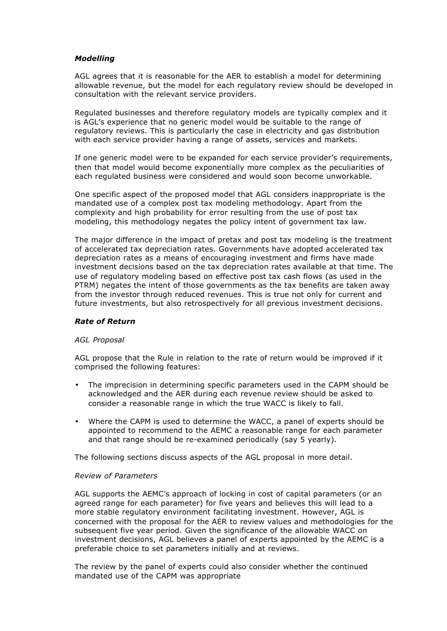#### *Modelling*

AGL agrees that it is reasonable for the AER to establish a model for determining allowable revenue, but the model for each regulatory review should be developed in consultation with the relevant service providers.

Regulated businesses and therefore regulatory models are typically complex and it is AGL's experience that no generic model would be suitable to the range of regulatory reviews. This is particularly the case in electricity and gas distribution with each service provider having a range of assets, services and markets.

If one generic model were to be expanded for each service provider's requirements, then that model would become exponentially more complex as the peculiarities of each regulated business were considered and would soon become unworkable.

One specific aspect of the proposed model that AGL considers inappropriate is the mandated use of a complex post tax modeling methodology. Apart from the complexity and high probability for error resulting from the use of post tax modeling, this methodology negates the policy intent of government tax law.

The major difference in the impact of pretax and post tax modeling is the treatment of accelerated tax depreciation rates. Governments have adopted accelerated tax depreciation rates as a means of encouraging investment and firms have made investment decisions based on the tax depreciation rates available at that time. The use of regulatory modeling based on effective post tax cash flows (as used in the PTRM) negates the intent of those governments as the tax benefits are taken away from the investor through reduced revenues. This is true not only for current and future investments, but also retrospectively for all previous investment decisions.

#### *Rate of Return*

#### *AGL Proposal*

AGL propose that the Rule in relation to the rate of return would be improved if it comprised the following features:

- The imprecision in determining specific parameters used in the CAPM should be acknowledged and the AER during each revenue review should be asked to consider a reasonable range in which the true WACC is likely to fall.
- Where the CAPM is used to determine the WACC, a panel of experts should be appointed to recommend to the AEMC a reasonable range for each parameter and that range should be re-examined periodically (say 5 yearly).

The following sections discuss aspects of the AGL proposal in more detail.

## *Review of Parameters*

AGL supports the AEMC's approach of locking in cost of capital parameters (or an agreed range for each parameter) for five years and believes this will lead to a more stable regulatory environment facilitating investment. However, AGL is concerned with the proposal for the AER to review values and methodologies for the subsequent five year period. Given the significance of the allowable WACC on investment decisions, AGL believes a panel of experts appointed by the AEMC is a preferable choice to set parameters initially and at reviews.

The review by the panel of experts could also consider whether the continued mandated use of the CAPM was appropriate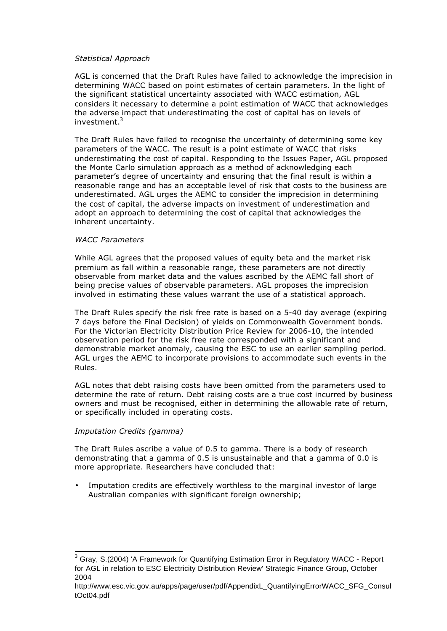#### *Statistical Approach*

AGL is concerned that the Draft Rules have failed to acknowledge the imprecision in determining WACC based on point estimates of certain parameters. In the light of the significant statistical uncertainty associated with WACC estimation, AGL considers it necessary to determine a point estimation of WACC that acknowledges the adverse impact that underestimating the cost of capital has on levels of investment.<sup>3</sup>

The Draft Rules have failed to recognise the uncertainty of determining some key parameters of the WACC. The result is a point estimate of WACC that risks underestimating the cost of capital. Responding to the Issues Paper, AGL proposed the Monte Carlo simulation approach as a method of acknowledging each parameter's degree of uncertainty and ensuring that the final result is within a reasonable range and has an acceptable level of risk that costs to the business are underestimated. AGL urges the AEMC to consider the imprecision in determining the cost of capital, the adverse impacts on investment of underestimation and adopt an approach to determining the cost of capital that acknowledges the inherent uncertainty.

#### *WACC Parameters*

While AGL agrees that the proposed values of equity beta and the market risk premium as fall within a reasonable range, these parameters are not directly observable from market data and the values ascribed by the AEMC fall short of being precise values of observable parameters. AGL proposes the imprecision involved in estimating these values warrant the use of a statistical approach.

The Draft Rules specify the risk free rate is based on a 5-40 day average (expiring 7 days before the Final Decision) of yields on Commonwealth Government bonds. For the Victorian Electricity Distribution Price Review for 2006-10, the intended observation period for the risk free rate corresponded with a significant and demonstrable market anomaly, causing the ESC to use an earlier sampling period. AGL urges the AEMC to incorporate provisions to accommodate such events in the Rules.

AGL notes that debt raising costs have been omitted from the parameters used to determine the rate of return. Debt raising costs are a true cost incurred by business owners and must be recognised, either in determining the allowable rate of return, or specifically included in operating costs.

#### *Imputation Credits (gamma)*

The Draft Rules ascribe a value of 0.5 to gamma. There is a body of research demonstrating that a gamma of 0.5 is unsustainable and that a gamma of 0.0 is more appropriate. Researchers have concluded that:

Imputation credits are effectively worthless to the marginal investor of large Australian companies with significant foreign ownership;

 $^3$  Gray, S.(2004) 'A Framework for Quantifying Estimation Error in Regulatory WACC - Report for AGL in relation to ESC Electricity Distribution Review' Strategic Finance Group, October 2004

http://www.esc.vic.gov.au/apps/page/user/pdf/AppendixL\_QuantifyingErrorWACC\_SFG\_Consul tOct04.pdf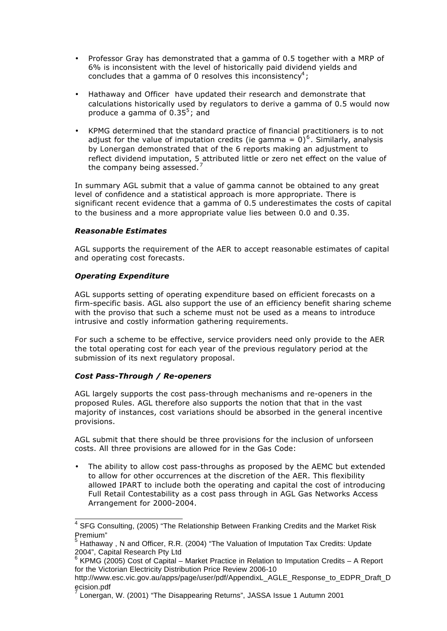- Professor Gray has demonstrated that a gamma of 0.5 together with a MRP of 6% is inconsistent with the level of historically paid dividend yields and concludes that a gamma of 0 resolves this inconsistency<sup>4</sup>;
- Hathaway and Officer have updated their research and demonstrate that calculations historically used by regulators to derive a gamma of 0.5 would now produce a gamma of 0.35<sup>5</sup>; and
- KPMG determined that the standard practice of financial practitioners is to not adjust for the value of imputation credits (ie gamma = 0)<sup>6</sup>. Similarly, analysis by Lonergan demonstrated that of the 6 reports making an adjustment to reflect dividend imputation, 5 attributed little or zero net effect on the value of the company being assessed.<sup>7</sup>

In summary AGL submit that a value of gamma cannot be obtained to any great level of confidence and a statistical approach is more appropriate. There is significant recent evidence that a gamma of 0.5 underestimates the costs of capital to the business and a more appropriate value lies between 0.0 and 0.35.

#### *Reasonable Estimates*

AGL supports the requirement of the AER to accept reasonable estimates of capital and operating cost forecasts.

#### *Operating Expenditure*

AGL supports setting of operating expenditure based on efficient forecasts on a firm-specific basis. AGL also support the use of an efficiency benefit sharing scheme with the proviso that such a scheme must not be used as a means to introduce intrusive and costly information gathering requirements.

For such a scheme to be effective, service providers need only provide to the AER the total operating cost for each year of the previous regulatory period at the submission of its next regulatory proposal.

## *Cost Pass-Through / Re-openers*

AGL largely supports the cost pass-through mechanisms and re-openers in the proposed Rules. AGL therefore also supports the notion that that in the vast majority of instances, cost variations should be absorbed in the general incentive provisions.

AGL submit that there should be three provisions for the inclusion of unforseen costs. All three provisions are allowed for in the Gas Code:

The ability to allow cost pass-throughs as proposed by the AEMC but extended to allow for other occurrences at the discretion of the AER. This flexibility allowed IPART to include both the operating and capital the cost of introducing Full Retail Contestability as a cost pass through in AGL Gas Networks Access Arrangement for 2000-2004.

 4 SFG Consulting, (2005) "The Relationship Between Franking Credits and the Market Risk Premium"<br><sup>5</sup> Llethews

Hathaway , N and Officer, R.R. (2004) "The Valuation of Imputation Tax Credits: Update 2004", Capital Research Pty Ltd

<sup>6</sup> KPMG (2005) Cost of Capital – Market Practice in Relation to Imputation Credits – A Report for the Victorian Electricity Distribution Price Review 2006-10

http://www.esc.vic.gov.au/apps/page/user/pdf/AppendixL\_AGLE\_Response\_to\_EDPR\_Draft\_D ecision.pdf

Lonergan, W. (2001) "The Disappearing Returns", JASSA Issue 1 Autumn 2001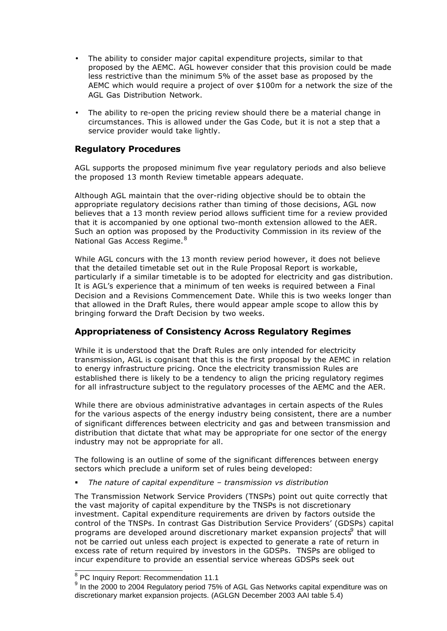- The ability to consider major capital expenditure projects, similar to that proposed by the AEMC. AGL however consider that this provision could be made less restrictive than the minimum 5% of the asset base as proposed by the AEMC which would require a project of over \$100m for a network the size of the AGL Gas Distribution Network.
- The ability to re-open the pricing review should there be a material change in circumstances. This is allowed under the Gas Code, but it is not a step that a service provider would take lightly.

## **Regulatory Procedures**

AGL supports the proposed minimum five year regulatory periods and also believe the proposed 13 month Review timetable appears adequate.

Although AGL maintain that the over-riding objective should be to obtain the appropriate regulatory decisions rather than timing of those decisions, AGL now believes that a 13 month review period allows sufficient time for a review provided that it is accompanied by one optional two-month extension allowed to the AER. Such an option was proposed by the Productivity Commission in its review of the National Gas Access Regime.<sup>8</sup>

While AGL concurs with the 13 month review period however, it does not believe that the detailed timetable set out in the Rule Proposal Report is workable, particularly if a similar timetable is to be adopted for electricity and gas distribution. It is AGL's experience that a minimum of ten weeks is required between a Final Decision and a Revisions Commencement Date. While this is two weeks longer than that allowed in the Draft Rules, there would appear ample scope to allow this by bringing forward the Draft Decision by two weeks.

## **Appropriateness of Consistency Across Regulatory Regimes**

While it is understood that the Draft Rules are only intended for electricity transmission, AGL is cognisant that this is the first proposal by the AEMC in relation to energy infrastructure pricing. Once the electricity transmission Rules are established there is likely to be a tendency to align the pricing regulatory regimes for all infrastructure subject to the regulatory processes of the AEMC and the AER.

While there are obvious administrative advantages in certain aspects of the Rules for the various aspects of the energy industry being consistent, there are a number of significant differences between electricity and gas and between transmission and distribution that dictate that what may be appropriate for one sector of the energy industry may not be appropriate for all.

The following is an outline of some of the significant differences between energy sectors which preclude a uniform set of rules being developed:

ß *The nature of capital expenditure – transmission vs distribution*

The Transmission Network Service Providers (TNSPs) point out quite correctly that the vast majority of capital expenditure by the TNSPs is not discretionary investment. Capital expenditure requirements are driven by factors outside the control of the TNSPs. In contrast Gas Distribution Service Providers' (GDSPs) capital programs are developed around discretionary market expansion projects $^9$  that will not be carried out unless each project is expected to generate a rate of return in excess rate of return required by investors in the GDSPs. TNSPs are obliged to incur expenditure to provide an essential service whereas GDSPs seek out

<sup>&</sup>lt;sup>8</sup> PC Inquiry Report: Recommendation 11.1

 $^{9}$  In the 2000 to 2004 Regulatory period 75% of AGL Gas Networks capital expenditure was on discretionary market expansion projects. (AGLGN December 2003 AAI table 5.4)